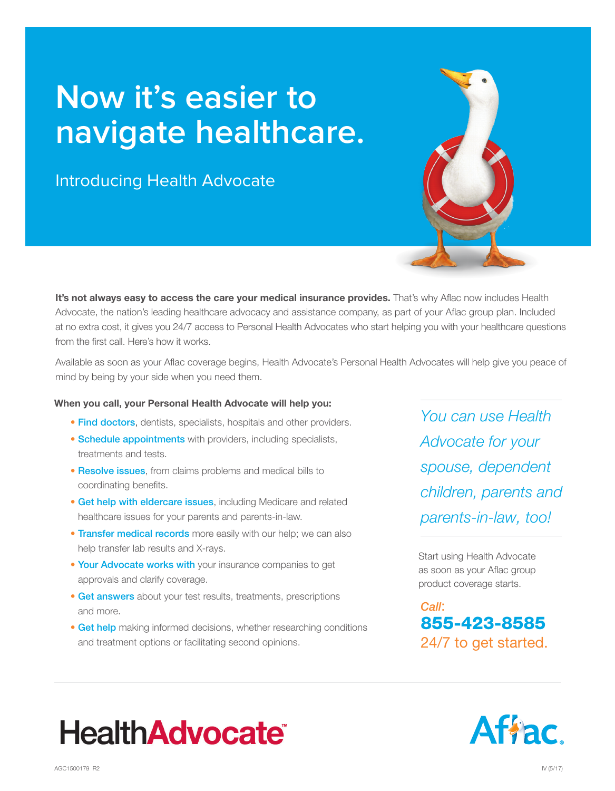## **Now it's easier to navigate healthcare.**

Introducing Health Advocate

It's not always easy to access the care your medical insurance provides. That's why Aflac now includes Health Advocate, the nation's leading healthcare advocacy and assistance company, as part of your Aflac group plan. Included at no extra cost, it gives you 24/7 access to Personal Health Advocates who start helping you with your healthcare questions from the first call. Here's how it works.

Available as soon as your Aflac coverage begins, Health Advocate's Personal Health Advocates will help give you peace of mind by being by your side when you need them.

## When you call, your Personal Health Advocate will help you:

- **Find doctors,** dentists, specialists, hospitals and other providers.
- Schedule appointments with providers, including specialists, treatments and tests.
- Resolve issues, from claims problems and medical bills to coordinating benefits.
- Get help with eldercare issues, including Medicare and related healthcare issues for your parents and parents-in-law.
- **Transfer medical records** more easily with our help; we can also help transfer lab results and X-rays.
- Your Advocate works with your insurance companies to get approvals and clarify coverage.
- Get answers about your test results, treatments, prescriptions and more.
- Get help making informed decisions, whether researching conditions and treatment options or facilitating second opinions.

*You can use Health Advocate for your spouse, dependent children, parents and parents-in-law, too!*

Start using Health Advocate as soon as your Aflac group product coverage starts.

*Call*: 855-423-8585 24/7 to get started.



## **HealthAdvocate®**